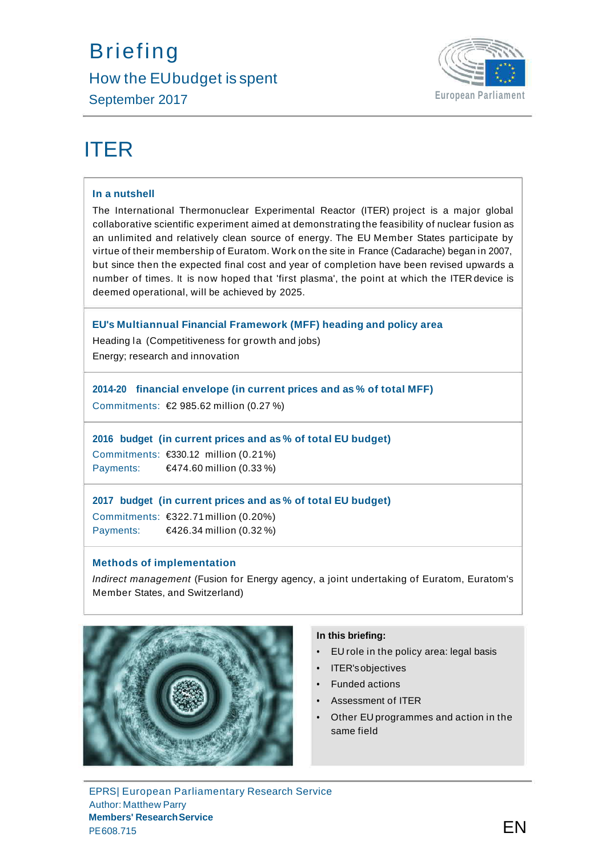## **Briefing** How the EUbudget is spent September 2017 **European Parliament**



# ITER

#### **In a nutshell**

The International Thermonuclear Experimental Reactor (ITER) project is a major global collaborative scientific experiment aimed at demonstrating the feasibility of nuclear fusion as an unlimited and relatively clean source of energy. The EU Member States participate by virtue of their membership of Euratom. Work on the site in France (Cadarache) began in 2007, but since then the expected final cost and year of completion have been revised upwards a number of times. It is now hoped that 'first plasma', the point at which the ITER device is deemed operational, will be achieved by 2025.

#### **EU's Multiannual Financial Framework (MFF) heading and policy area**

Heading la (Competitiveness for growth and jobs)

Energy; research and innovation

## **2014-20 financial envelope (in current prices and as % of total MFF)**

Commitments: €2 985.62 million (0.27 %)

#### **2016 budget (in current prices and as % of total EU budget)**

Commitments: €330.12 million (0.21%) Payments: €474.60 million (0.33 %)

#### **2017 budget (in current prices and as % of total EU budget)**

Commitments: €322.71 million (0.20%) Payments: €426.34 million (0.32 %)

#### **Methods of implementation**

*Indirect management* (Fusion for Energy agency, a joint undertaking of Euratom, Euratom's Member States, and Switzerland)



## **In this briefing:**

- EU role in the policy area: legal basis
- ITER'sobjectives
- Funded actions
- Assessment of ITER
- Other EU programmes and action in the same field

EPRS| European Parliamentary Research Service Author: Matthew Parry **Members' ResearchService**  $P$ E608.715 **EN**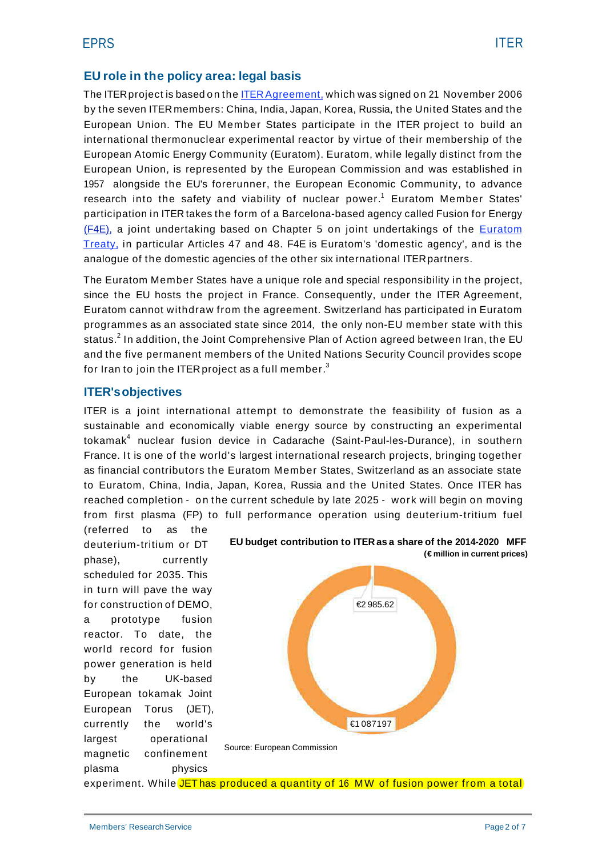## **EU role in the policy area: legal basis**

The ITER project is based on the ITER Agreement, which was signed on 21 November 2006 by the seven ITER members: China, India, Japan, Korea, Russia, the United States and the European Union. The EU Member States participate in the ITER project to build an international thermonuclear experimental reactor by virtue of their membership of the European Atomic Energy Community (Euratom). Euratom, while legally distinct from the European Union, is represented by the European Commission and was established in 1957 alongside the EU's forerunner, the European Economic Community, to advance research into the safety and viability of nuclear power.<sup>1</sup> Euratom Member States' participation in ITER takes the form of a Barcelona-based agency called Fusion for Energy (F4E), a joint undertaking based on Chapter 5 on joint undertakings of the Euratom Treaty, in particular Articles 47 and 48. F4E is Euratom's 'domestic agency', and is the analogue of the domestic agencies of the other six international ITERpartners.

The Euratom Member States have a unique role and special responsibility in the project, since the EU hosts the project in France. Consequently, under the ITER Agreement, Euratom cannot withdraw from the agreement. Switzerland has participated in Euratom programmes as an associated state since 2014, the only non-EU member state with this status.<sup>2</sup> In addition, the Joint Comprehensive Plan of Action agreed between Iran, the EU and the five permanent members of the United Nations Security Council provides scope for Iran to join the ITER project as a full member. $3$ 

## **ITER'sobjectives**

ITER is a joint international attempt to demonstrate the feasibility of fusion as a sustainable and economically viable energy source by constructing an experimental tokamak<sup>4</sup> nuclear fusion device in Cadarache (Saint-Paul-les-Durance), in southern France. It is one of the world's largest international research projects, bringing together as financial contributors the Euratom Member States, Switzerland as an associate state to Euratom, China, India, Japan, Korea, Russia and the United States. Once ITER has reached completion - o n the current schedule by late 2025 - work will begin on moving from first plasma (FP) to full performance operation using deuterium-tritium fuel

(referred to as the deuterium-tritium or DT phase), currently scheduled for 2035. This in turn will pave the way for construction of DEMO, a prototype fusion reactor. To date, the world record for fusion power generation is held by the UK-based European tokamak Joint European Torus (JET), currently the world's largest operational magnetic confinement plasma physics





Source: European Commission

experiment. While JET has produced a quantity of 16 MW of fusion power from a total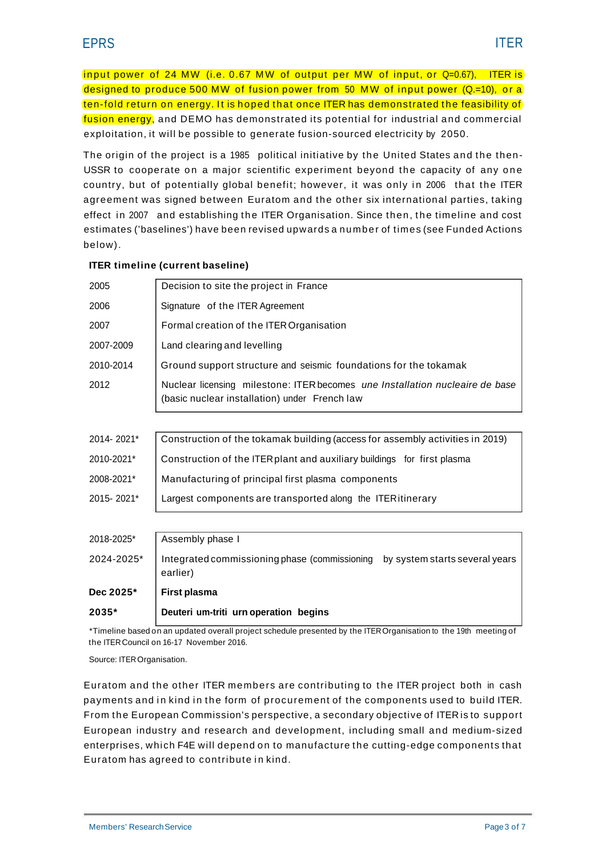input power of 24 MW (i.e. 0.67 MW of output per MW of input, or Q=0.67), ITER is input power of 24 MW (i.e. 0.67 MW of output per MW of input, or Q=0.67), ITER is<br>designed to produce 500 MW of fusion power from 50 MW of input power (Q.=10), or a designed to produce 500 MW of fusion power from 50 MW of input power (Q.=10), or a<br>ten-fold return on energy. It is hoped that once ITER has demonstrated the feasibility of fusion energy, and DEMO has demonstrated its potential for industrial and commercial exploitation, it will be possible to generate fusion-sourced electricity by 2050.

The origin of the project is a 1985 political initiative by the United States and the then-USSR to cooperate on a major scientific experiment beyond the capacity of any one country, but of potentially global benefit; however, it was only in 2006 that the ITER agreement was signed between Euratom and the other six international parties, taking effect in 2007 and establishing the ITER Organisation. Since then, the timeline and cost estimates ('baselines') have been revised upwards a number of times (see Funded Actions below).

| $2035*$    | Deuteri um-triti urn operation begins                                                                                         |  |  |  |  |  |  |
|------------|-------------------------------------------------------------------------------------------------------------------------------|--|--|--|--|--|--|
| Dec 2025*  | First plasma                                                                                                                  |  |  |  |  |  |  |
| 2024-2025* | Integrated commissioning phase (commissioning<br>by system starts several years<br>earlier)                                   |  |  |  |  |  |  |
| 2018-2025* | Assembly phase I                                                                                                              |  |  |  |  |  |  |
|            |                                                                                                                               |  |  |  |  |  |  |
| 2015-2021* | Largest components are transported along the ITER itinerary                                                                   |  |  |  |  |  |  |
| 2008-2021* | Manufacturing of principal first plasma components                                                                            |  |  |  |  |  |  |
| 2010-2021* | Construction of the ITER plant and auxiliary buildings for first plasma                                                       |  |  |  |  |  |  |
| 2014-2021* | Construction of the tokamak building (access for assembly activities in 2019)                                                 |  |  |  |  |  |  |
|            |                                                                                                                               |  |  |  |  |  |  |
| 2012       | Nuclear licensing milestone: ITER becomes une Installation nucleaire de base<br>(basic nuclear installation) under French law |  |  |  |  |  |  |
| 2010-2014  | Ground support structure and seismic foundations for the tokamak                                                              |  |  |  |  |  |  |
| 2007-2009  | Land clearing and levelling                                                                                                   |  |  |  |  |  |  |
| 2007       | Formal creation of the ITER Organisation                                                                                      |  |  |  |  |  |  |
| 2006       | Signature of the ITER Agreement                                                                                               |  |  |  |  |  |  |
| 2005       | Decision to site the project in France                                                                                        |  |  |  |  |  |  |

#### **ITER timeline (current baseline)**

\*Timeline based on an updated overall project schedule presented by the ITEROrganisation to the 19th meeting of the ITERCouncil on 16-17 November 2016.

Source: ITER Organisation.

Euratom and the other ITER members are contributing to the ITER project both in cash payments and in kind in the form of procurement of the components used to build ITER. From the European Commission's perspective, a secondary objective of ITER is to support European industry and research and development, including small and medium-sized enterprises, which F4E will depend on to manufacture the cutting-edge components that European muustry and research and deve<br>enterprises, which F4E will depend on to ma<br>Euratom has agreed to contribute in kind.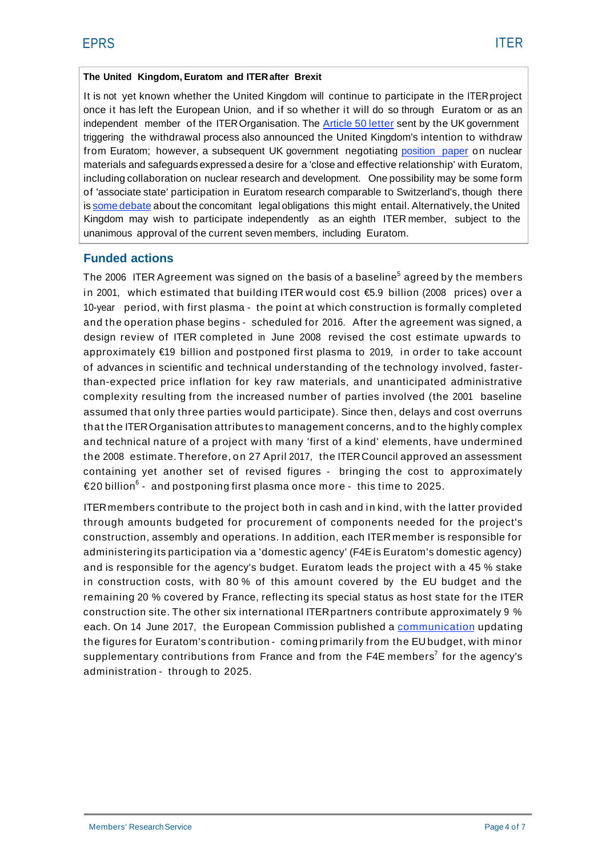#### **The United Kingdom, Euratom and ITERafter Brexit**

It is not yet known whether the United Kingdom will continue to participate in the ITERproject once it has left the European Union, and if so whether it will do so through Euratom or as an independent member of the ITER Organisation. The Article 50 letter sent by the UK government triggering the withdrawal process also announced the United Kingdom's intention to withdraw from Euratom; however, a subsequent UK government negotiating position paper on nuclear materials and safeguardsexpressed a desire for a 'close and effective relationship' with Euratom, including collaboration on nuclear research and development. One possibility may be some form of 'associate state' participation in Euratom research comparable to Switzerland's, though there is some debate about the concomitant legal obligations this might entail. Alternatively, the United Kingdom may wish to participate independently as an eighth ITER member, subject to the unanimous approval of the current seven members, including Euratom.

## **Funded actions**

The 2006 ITER Agreement was signed on the basis of a baseline<sup>5</sup> agreed by the members in 2001, which estimated that building ITER would cost €5.9 billion (2008 prices) over a 10-year period, with first plasma - the point at which construction is formally completed and the operation phase begins - scheduled for 2016. After the agreement was signed, a design review of ITER completed in June 2008 revised the cost estimate upwards to approximately €19 billion and postponed first plasma to 2019, in order to take account of advances in scientific and technical understanding of the technology involved, fasterthan-expected price inflation for key raw materials, and unanticipated administrative complexity resulting from the increased number of parties involved (the 2001 baseline assumed that only three parties would participate). Since then, delays and cost overruns that the ITEROrganisation attributes to management concerns, and to the highly complex and technical nature of a project with many 'first of a kind' elements, have undermined that the HEROIganisation attributes to management concerns, and to the highly complex<br>and technical nature of a project with many 'first of a kind' elements, have undermined<br>the 2008 estimate. Therefore, on 27 April 2017, containing yet another set of revised figures - bringing the cost to approximately  $\epsilon$ 20 billion<sup>6</sup> - and postponing first plasma once more - this time to 2025.

ITERmembers contribute to the project both in cash and in kind, with the latter provided through amounts budgeted for procurement of components needed for the project's construction, assembly and operations. In addition, each ITER member is responsible for administering its participation via a 'domestic agency' (F4Eis Euratom's domestic agency) and is responsible for the agency's budget. Euratom leads the project with a 45 % stake in construction costs, with 80 % of this amount covered by the EU budget and the remaining 20 % covered by France, reflecting its special status as host state for the ITER construction site. The other six international ITERpartners contribute approximately 9 % each. On 14 June 2017, the European Commission published a communication updating the figures for Euratom's contribution - coming primarily from the EU budget, with minor supplementary contributions from France and from the F4E members<sup>7</sup> for the agency's administration - through to 2025.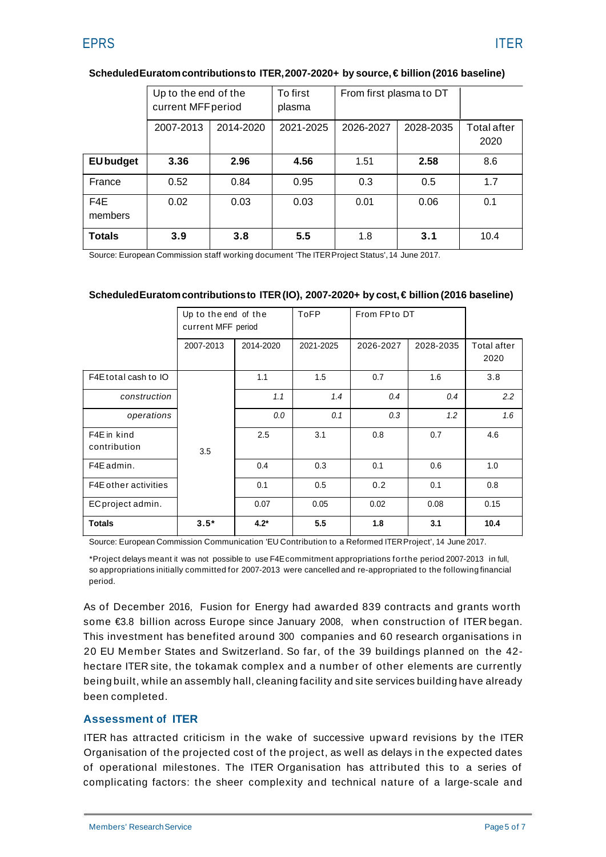|                  | Up to the end of the<br>current MFF period |           | To first<br>plasma | From first plasma to DT |           |                            |
|------------------|--------------------------------------------|-----------|--------------------|-------------------------|-----------|----------------------------|
|                  | 2007-2013                                  | 2014-2020 | 2021-2025          | 2026-2027               | 2028-2035 | <b>Total after</b><br>2020 |
| <b>EU</b> budget | 3.36                                       | 2.96      | 4.56               | 1.51                    | 2.58      | 8.6                        |
| France           | 0.52                                       | 0.84      | 0.95               | 0.3                     | 0.5       | 1.7                        |
| F4E<br>members   | 0.02                                       | 0.03      | 0.03               | 0.01                    | 0.06      | 0.1                        |
| <b>Totals</b>    | 3.9                                        | 3.8       | 5.5                | 1.8                     | 3.1       | 10.4                       |

#### **ScheduledEuratomcontributionsto ITER,2007-2020+ by source,€ billion (2016 baseline)**

Source: European Commission staff working document 'The ITERProject Status', 14 June 2017.

#### **ScheduledEuratomcontributionsto ITER (IO), 2007-2020+ by cost,€ billion (2016 baseline)**

|                             | Up to the end of the<br>current MFF period |           | <b>ToFP</b> | From FPto DT |           |                     |
|-----------------------------|--------------------------------------------|-----------|-------------|--------------|-----------|---------------------|
|                             | 2007-2013                                  | 2014-2020 | 2021-2025   | 2026-2027    | 2028-2035 | Total after<br>2020 |
| F4E total cash to IO        |                                            | 1.1       | 1.5         | 0.7          | 1.6       | 3.8                 |
| construction                |                                            | 1.1       | 1.4         | 0.4          | 0.4       | 2.2                 |
| operations                  |                                            | 0.0       | 0.1         | 0.3          | 1.2       | 1.6                 |
| F4E in kind<br>contribution | 3.5                                        | 2.5       | 3.1         | 0.8          | 0.7       | 4.6                 |
| F4E admin.                  |                                            | 0.4       | 0.3         | 0.1          | 0.6       | 1.0                 |
| F4E other activities        |                                            | 0.1       | 0.5         | 0.2          | 0.1       | 0.8                 |
| EC project admin.           |                                            | 0.07      | 0.05        | 0.02         | 0.08      | 0.15                |
| <b>Totals</b>               | $3.5*$                                     | $4.2*$    | 5.5         | 1.8          | 3.1       | 10.4                |

Source: European Commission Communication 'EU Contribution to a Reformed ITERProject', 14 June 2017.

\*Project delays meant it was not possible to use F4Ecommitment appropriations forthe period 2007-2013 in full, so appropriations initially committed for 2007-2013 were cancelled and re-appropriated to the following financial period.

As of December 2016, Fusion for Energy had awarded 839 contracts and grants worth some €3.8 billion across Europe since January 2008, when construction of ITER began. This investment has benefited around 300 companies and 60 research organisations in 20 EU Member States and Switzerland. So far, of the 39 buildings planned on the 42 hectare ITER site, the tokamak complex and a number of other elements are currently being built, while an assembly hall, cleaning facility and site services building have already been completed.

## **Assessment of ITER**

ITER has attracted criticism in the wake of successive upward revisions by the ITER Organisation of the projected cost of the project, as well as delays in the expected dates of operational milestones. The ITER Organisation has attributed this to a series of complicating factors: the sheer complexity and technical nature of a large-scale and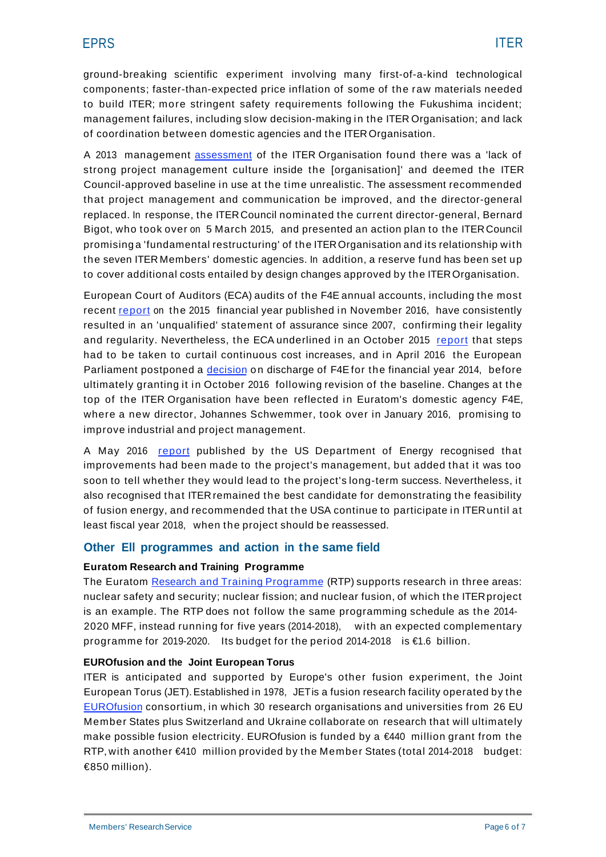ground-breaking scientific experiment involving many first-of-a-kind technological components; faster-than-expected price inflation of some of the raw materials needed to build ITER; more stringent safety requirements following the Fukushima incident; management failures, including slow decision-making in the ITER Organisation; and lack of coordination between domestic agencies and the ITEROrganisation.

A 2013 management assessment of the ITER Organisation found there was a 'lack of strong project management culture inside the [organisation]' and deemed the ITER Council-approved baseline in use at the time unrealistic. The assessment recommended that project management and communication be improved, and the director-general replaced. In response, the ITERCouncil nominated the current director-general, Bernard Bigot, who took over on 5 March 2015, and presented an action plan to the ITERCouncil promising a 'fundamental restructuring' of the ITEROrganisation and its relationship with the seven ITER Members' domestic agencies. In addition, a reserve fund has been set up to cover additional costs entailed by design changes approved by the ITEROrganisation.

European Court of Auditors (ECA) audits of the F4E annual accounts, including the most recent report on the 2015 financial year published in November 2016, have consistently resulted in an 'unqualified' statement of assurance since 2007, confirming their legality and regularity. Nevertheless, the ECA underlined in an October 2015 report that steps had to be taken to curtail continuous cost increases, and in April 2016 the European Parliament postponed a decision on discharge of F4E for the financial year 2014, before ultimately granting it in October 2016 following revision of the baseline. Changes at the top of the ITER Organisation have been reflected in Euratom's domestic agency F4E, where a new director, Johannes Schwemmer, took over in January 2016, promising to improve industrial and project management.

A May 2016 report published by the US Department of Energy recognised that improvements had been made to the project's management, but added that it was too soon to tell whether they would lead to the project's long-term success. Nevertheless, it also recognised that ITER remained the best candidate for demonstrating the feasibility of fusion energy, and recommended that the USA continue to participate in ITERuntil at least fiscal year 2018, when the project should be reassessed.

## **Other Ell programmes and action in the same field**

## **Euratom Research and Training Programme**

The Euratom Research and Training Programme (RTP) supports research in three areas: nuclear safety and security; nuclear fission; and nuclear fusion, of which the ITERproject is an example. The RTP does not follow the same programming schedule as the 2014- 2020 MFF, instead running for five years (2014-2018), with an expected complementary programme for 2019-2020. Its budget for the period 2014-2018 is €1.6 billion.

#### **EUROfusion and the Joint European Torus**

ITER is anticipated and supported by Europe's other fusion experiment, the Joint European Torus (JET). Established in 1978, JETis a fusion research facility operated by the EUROfusion consortium, in which 30 research organisations and universities from 26 EU Member States plus Switzerland and Ukraine collaborate on research that will ultimately make possible fusion electricity. EUROfusion is funded by a  $\epsilon$ 440 million grant from the RTP, with another €410 million provided by the Member States (total 2014-2018 budget: €850 million).